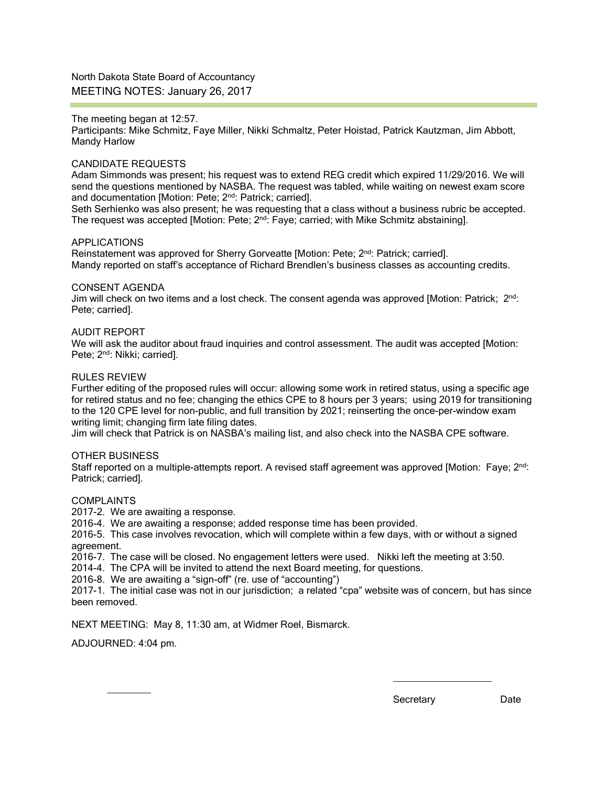North Dakota State Board of Accountancy MEETING NOTES: January 26, 2017

#### The meeting began at 12:57.

Participants: Mike Schmitz, Faye Miller, Nikki Schmaltz, Peter Hoistad, Patrick Kautzman, Jim Abbott, Mandy Harlow

## CANDIDATE REQUESTS

Adam Simmonds was present; his request was to extend REG credit which expired 11/29/2016. We will send the questions mentioned by NASBA. The request was tabled, while waiting on newest exam score and documentation [Motion: Pete; 2<sup>nd</sup>: Patrick; carried].

Seth Serhienko was also present; he was requesting that a class without a business rubric be accepted. The request was accepted [Motion: Pete;  $2<sup>nd</sup>$ : Faye; carried; with Mike Schmitz abstaining].

#### APPLICATIONS

Reinstatement was approved for Sherry Gorveatte [Motion: Pete; 2<sup>nd</sup>: Patrick; carried]. Mandy reported on staff's acceptance of Richard Brendlen's business classes as accounting credits.

#### CONSENT AGENDA

Jim will check on two items and a lost check. The consent agenda was approved [Motion: Patrick; 2nd: Pete; carried].

#### AUDIT REPORT

We will ask the auditor about fraud inquiries and control assessment. The audit was accepted [Motion: Pete; 2<sup>nd</sup>: Nikki; carried].

#### RULES REVIEW

Further editing of the proposed rules will occur: allowing some work in retired status, using a specific age for retired status and no fee; changing the ethics CPE to 8 hours per 3 years; using 2019 for transitioning to the 120 CPE level for non-public, and full transition by 2021; reinserting the once-per-window exam writing limit; changing firm late filing dates.

Jim will check that Patrick is on NASBA's mailing list, and also check into the NASBA CPE software.

#### OTHER BUSINESS

Staff reported on a multiple-attempts report. A revised staff agreement was approved [Motion: Faye; 2<sup>nd</sup>: Patrick; carried].

#### COMPLAINTS

2017-2. We are awaiting a response.

2016-4. We are awaiting a response; added response time has been provided.

2016-5. This case involves revocation, which will complete within a few days, with or without a signed agreement.

2016-7. The case will be closed. No engagement letters were used. Nikki left the meeting at 3:50.

2014-4. The CPA will be invited to attend the next Board meeting, for questions.

2016-8. We are awaiting a "sign-off" (re. use of "accounting")

2017-1. The initial case was not in our jurisdiction; a related "cpa" website was of concern, but has since been removed.

NEXT MEETING: May 8, 11:30 am, at Widmer Roel, Bismarck.

ADJOURNED: 4:04 pm.

 $\overline{\phantom{a}}$ 

Secretary Date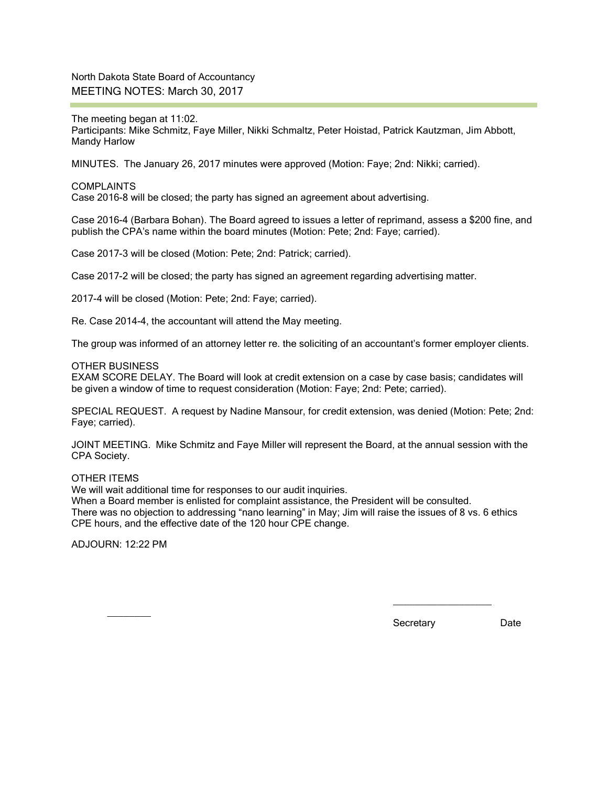North Dakota State Board of Accountancy MEETING NOTES: March 30, 2017

The meeting began at 11:02. Participants: Mike Schmitz, Faye Miller, Nikki Schmaltz, Peter Hoistad, Patrick Kautzman, Jim Abbott, Mandy Harlow

MINUTES. The January 26, 2017 minutes were approved (Motion: Faye; 2nd: Nikki; carried).

#### COMPLAINTS Case 2016-8 will be closed; the party has signed an agreement about advertising.

Case 2016-4 (Barbara Bohan). The Board agreed to issues a letter of reprimand, assess a \$200 fine, and publish the CPA's name within the board minutes (Motion: Pete; 2nd: Faye; carried).

Case 2017-3 will be closed (Motion: Pete; 2nd: Patrick; carried).

Case 2017-2 will be closed; the party has signed an agreement regarding advertising matter.

2017-4 will be closed (Motion: Pete; 2nd: Faye; carried).

Re. Case 2014-4, the accountant will attend the May meeting.

The group was informed of an attorney letter re. the soliciting of an accountant's former employer clients.

## OTHER BUSINESS

EXAM SCORE DELAY. The Board will look at credit extension on a case by case basis; candidates will be given a window of time to request consideration (Motion: Faye; 2nd: Pete; carried).

SPECIAL REQUEST. A request by Nadine Mansour, for credit extension, was denied (Motion: Pete; 2nd: Faye; carried).

JOINT MEETING. Mike Schmitz and Faye Miller will represent the Board, at the annual session with the CPA Society.

OTHER ITEMS

We will wait additional time for responses to our audit inquiries.

When a Board member is enlisted for complaint assistance, the President will be consulted.

There was no objection to addressing "nano learning" in May; Jim will raise the issues of 8 vs. 6 ethics CPE hours, and the effective date of the 120 hour CPE change.

ADJOURN: 12:22 PM

 $\overline{\phantom{a}}$ 

Secretary Date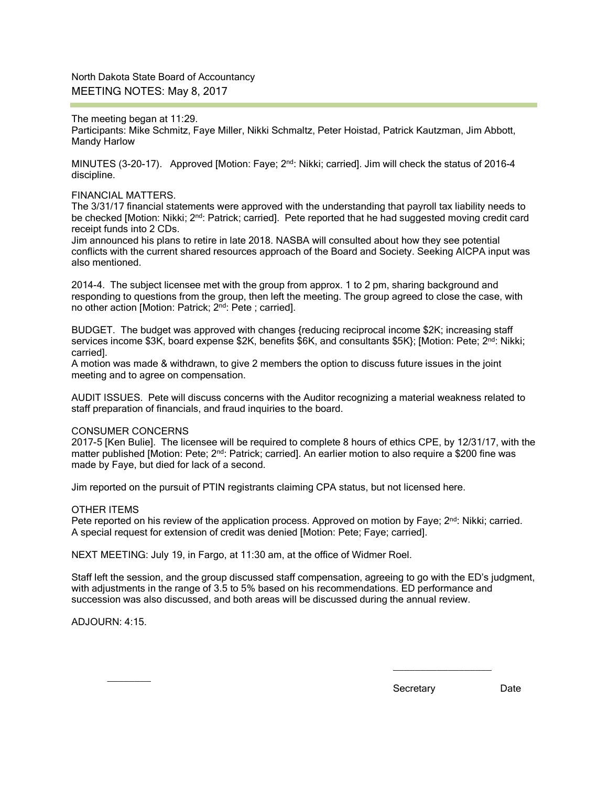North Dakota State Board of Accountancy MEETING NOTES: May 8, 2017

The meeting began at 11:29. Participants: Mike Schmitz, Faye Miller, Nikki Schmaltz, Peter Hoistad, Patrick Kautzman, Jim Abbott, Mandy Harlow

MINUTES (3-20-17). Approved [Motion: Faye; 2<sup>nd</sup>: Nikki; carried]. Jim will check the status of 2016-4 discipline.

#### FINANCIAL MATTERS.

The 3/31/17 financial statements were approved with the understanding that payroll tax liability needs to be checked [Motion: Nikki; 2<sup>nd</sup>: Patrick; carried]. Pete reported that he had suggested moving credit card receipt funds into 2 CDs.

Jim announced his plans to retire in late 2018. NASBA will consulted about how they see potential conflicts with the current shared resources approach of the Board and Society. Seeking AICPA input was also mentioned.

2014-4. The subject licensee met with the group from approx. 1 to 2 pm, sharing background and responding to questions from the group, then left the meeting. The group agreed to close the case, with no other action [Motion: Patrick; 2nd: Pete ; carried].

BUDGET. The budget was approved with changes {reducing reciprocal income \$2K; increasing staff services income \$3K, board expense \$2K, benefits \$6K, and consultants \$5K}; [Motion: Pete; 2<sup>nd</sup>: Nikki; carried].

A motion was made & withdrawn, to give 2 members the option to discuss future issues in the joint meeting and to agree on compensation.

AUDIT ISSUES. Pete will discuss concerns with the Auditor recognizing a material weakness related to staff preparation of financials, and fraud inquiries to the board.

### CONSUMER CONCERNS

2017-5 [Ken Bulie]. The licensee will be required to complete 8 hours of ethics CPE, by 12/31/17, with the matter published [Motion: Pete;  $2^{nd}$ : Patrick; carried]. An earlier motion to also require a \$200 fine was made by Faye, but died for lack of a second.

Jim reported on the pursuit of PTIN registrants claiming CPA status, but not licensed here.

### OTHER ITEMS

Pete reported on his review of the application process. Approved on motion by Faye;  $2^{nd}$ : Nikki; carried. A special request for extension of credit was denied [Motion: Pete; Faye; carried].

NEXT MEETING: July 19, in Fargo, at 11:30 am, at the office of Widmer Roel.

Staff left the session, and the group discussed staff compensation, agreeing to go with the ED's judgment, with adjustments in the range of 3.5 to 5% based on his recommendations. ED performance and succession was also discussed, and both areas will be discussed during the annual review.

ADJOURN: 4:15.

 $\overline{\phantom{a}}$ 

Secretary Date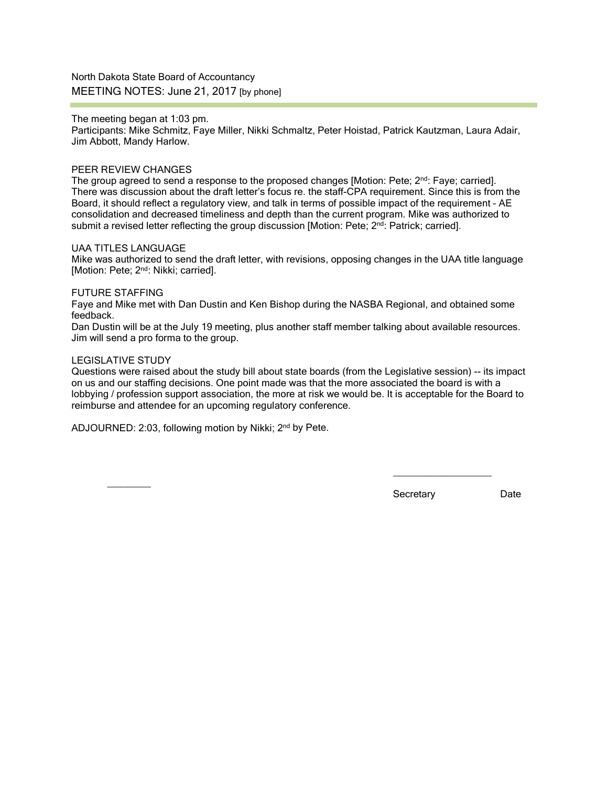North Dakota State Board of Accountancy MEETING NOTES: June 21, 2017 [by phone]

The meeting began at 1:03 pm.

Participants: Mike Schmitz, Faye Miller, Nikki Schmaltz, Peter Hoistad, Patrick Kautzman, Laura Adair, Jim Abbott, Mandy Harlow.

## PEER REVIEW CHANGES

The group agreed to send a response to the proposed changes [Motion: Pete;  $2^{nd}$ : Faye; carried]. There was discussion about the draft letter's focus re. the staff-CPA requirement. Since this is from the Board, it should reflect a regulatory view, and talk in terms of possible impact of the requirement – AE consolidation and decreased timeliness and depth than the current program. Mike was authorized to submit a revised letter reflecting the group discussion [Motion: Pete; 2<sup>nd</sup>: Patrick; carried].

#### UAA TITLES LANGUAGE

Mike was authorized to send the draft letter, with revisions, opposing changes in the UAA title language [Motion: Pete; 2<sup>nd</sup>: Nikki; carried].

#### FUTURE STAFFING

Faye and Mike met with Dan Dustin and Ken Bishop during the NASBA Regional, and obtained some feedback.

Dan Dustin will be at the July 19 meeting, plus another staff member talking about available resources. Jim will send a pro forma to the group.

### LEGISLATIVE STUDY

Questions were raised about the study bill about state boards (from the Legislative session) -- its impact on us and our staffing decisions. One point made was that the more associated the board is with a lobbying / profession support association, the more at risk we would be. It is acceptable for the Board to reimburse and attendee for an upcoming regulatory conference.

ADJOURNED: 2:03, following motion by Nikki; 2nd by Pete.

 $\frac{1}{2}$ 

Secretary Date

 $\_$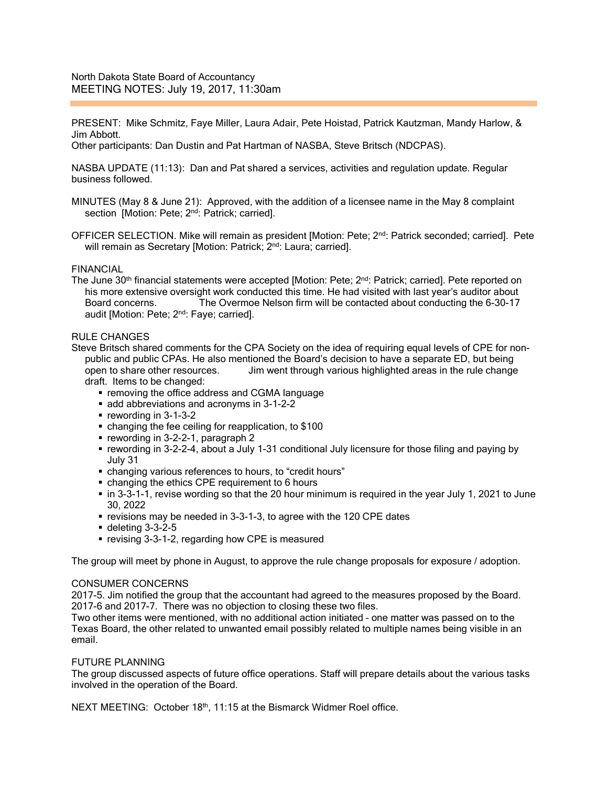PRESENT: Mike Schmitz, Faye Miller, Laura Adair, Pete Hoistad, Patrick Kautzman, Mandy Harlow, & Jim Abbott.

Other participants: Dan Dustin and Pat Hartman of NASBA, Steve Britsch (NDCPAS).

NASBA UPDATE (11:13): Dan and Pat shared a services, activities and regulation update. Regular business followed.

- MINUTES (May 8 & June 21): Approved, with the addition of a licensee name in the May 8 complaint section [Motion: Pete; 2<sup>nd</sup>: Patrick; carried].
- OFFICER SELECTION. Mike will remain as president [Motion: Pete; 2<sup>nd</sup>: Patrick seconded; carried]. Pete will remain as Secretary [Motion: Patrick; 2<sup>nd</sup>: Laura; carried].

## FINANCIAL

The June 30<sup>th</sup> financial statements were accepted [Motion: Pete; 2<sup>nd</sup>: Patrick; carried]. Pete reported on his more extensive oversight work conducted this time. He had visited with last year's auditor about Board concerns. The Overmoe Nelson firm will be contacted about conducting the 6-30-17 audit [Motion: Pete; 2<sup>nd</sup>: Faye; carried].

#### RULE CHANGES

Steve Britsch shared comments for the CPA Society on the idea of requiring equal levels of CPE for nonpublic and public CPAs. He also mentioned the Board's decision to have a separate ED, but being open to share other resources. Jim went through various highlighted areas in the rule change draft. Items to be changed:

- **removing the office address and CGMA language**
- add abbreviations and acronyms in 3-1-2-2
- $\blacksquare$  rewording in 3-1-3-2
- changing the fee ceiling for reapplication, to \$100
- rewording in 3-2-2-1, paragraph 2
- rewording in 3-2-2-4, about a July 1-31 conditional July licensure for those filing and paying by July 31
- changing various references to hours, to "credit hours"
- changing the ethics CPE requirement to 6 hours
- in 3-3-1-1, revise wording so that the 20 hour minimum is required in the year July 1, 2021 to June 30, 2022
- **•** revisions may be needed in 3-3-1-3, to agree with the 120 CPE dates
- $\blacksquare$  deleting 3-3-2-5
- **revising 3-3-1-2, regarding how CPE is measured**

The group will meet by phone in August, to approve the rule change proposals for exposure / adoption.

### CONSUMER CONCERNS

2017-5. Jim notified the group that the accountant had agreed to the measures proposed by the Board. 2017-6 and 2017-7. There was no objection to closing these two files.

Two other items were mentioned, with no additional action initiated – one matter was passed on to the Texas Board, the other related to unwanted email possibly related to multiple names being visible in an email.

### FUTURE PLANNING

The group discussed aspects of future office operations. Staff will prepare details about the various tasks involved in the operation of the Board.

NEXT MEETING: October 18th, 11:15 at the Bismarck Widmer Roel office.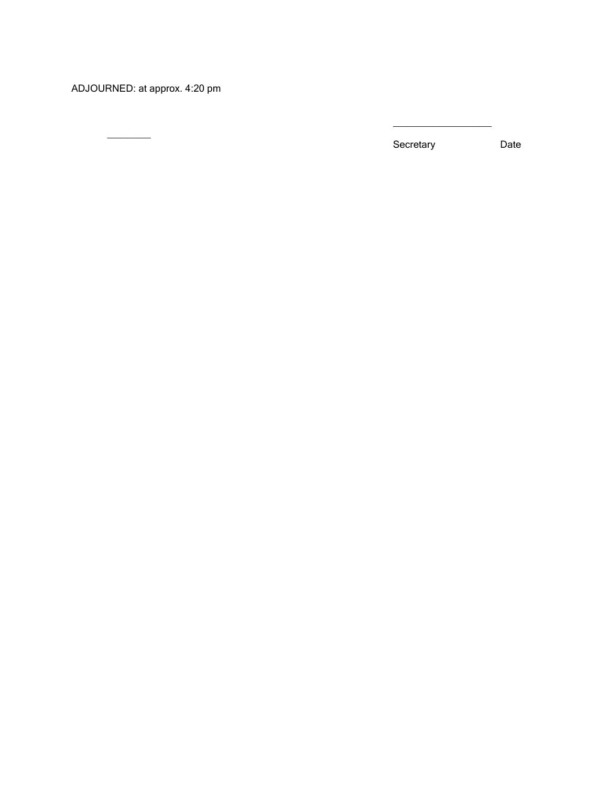ADJOURNED: at approx. 4:20 pm

 $\overline{\phantom{a}}$ 

Secretary Date

 $\_$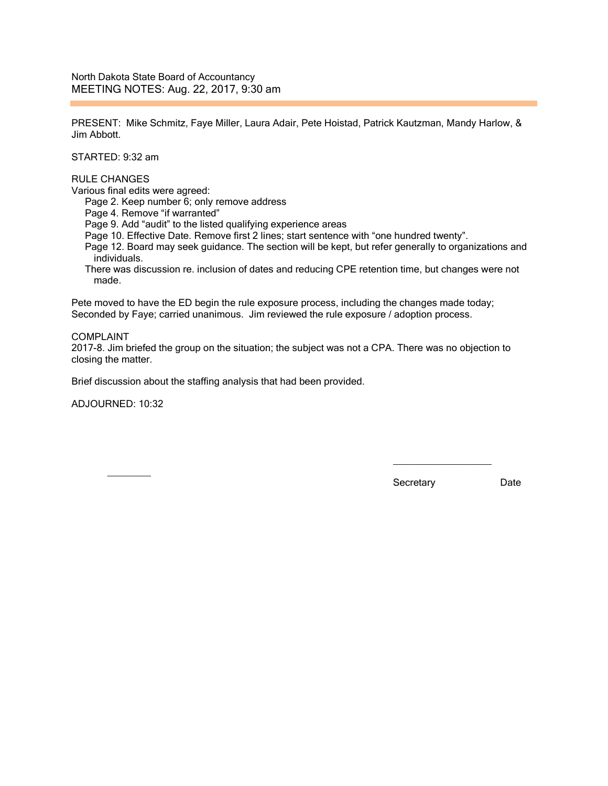North Dakota State Board of Accountancy MEETING NOTES: Aug. 22, 2017, 9:30 am

PRESENT: Mike Schmitz, Faye Miller, Laura Adair, Pete Hoistad, Patrick Kautzman, Mandy Harlow, & Jim Abbott.

STARTED: 9:32 am

# RULE CHANGES

Various final edits were agreed:

Page 2. Keep number 6; only remove address

Page 4. Remove "if warranted"

Page 9. Add "audit" to the listed qualifying experience areas

Page 10. Effective Date. Remove first 2 lines; start sentence with "one hundred twenty".

- Page 12. Board may seek guidance. The section will be kept, but refer generally to organizations and individuals.
- There was discussion re. inclusion of dates and reducing CPE retention time, but changes were not made.

Pete moved to have the ED begin the rule exposure process, including the changes made today; Seconded by Faye; carried unanimous. Jim reviewed the rule exposure / adoption process.

#### COMPLAINT

2017-8. Jim briefed the group on the situation; the subject was not a CPA. There was no objection to closing the matter.

Brief discussion about the staffing analysis that had been provided.

ADJOURNED: 10:32

 $\overline{\phantom{a}}$ 

Secretary Date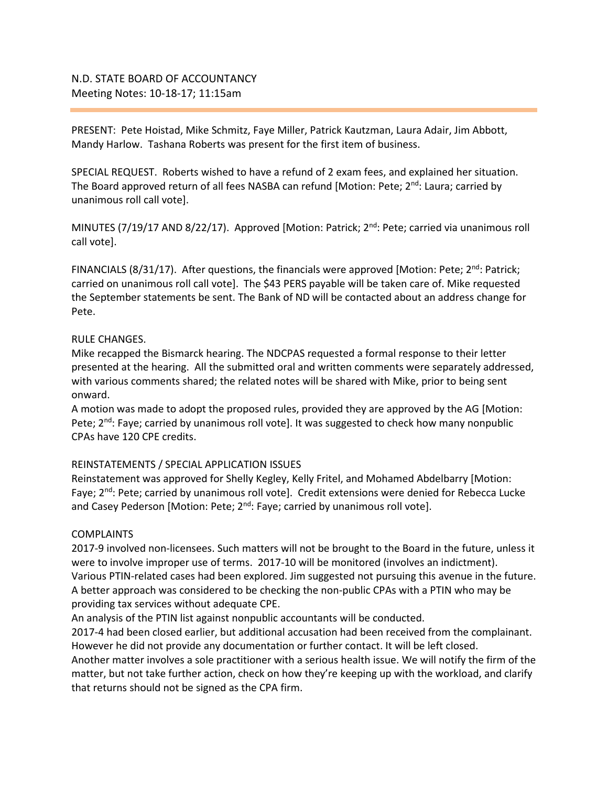PRESENT: Pete Hoistad, Mike Schmitz, Faye Miller, Patrick Kautzman, Laura Adair, Jim Abbott, Mandy Harlow. Tashana Roberts was present for the first item of business.

SPECIAL REQUEST. Roberts wished to have a refund of 2 exam fees, and explained her situation. The Board approved return of all fees NASBA can refund [Motion: Pete; 2<sup>nd</sup>: Laura; carried by unanimous roll call vote].

MINUTES (7/19/17 AND 8/22/17). Approved [Motion: Patrick; 2<sup>nd</sup>: Pete; carried via unanimous roll call vote].

FINANCIALS (8/31/17). After questions, the financials were approved [Motion: Pete;  $2<sup>nd</sup>$ : Patrick; carried on unanimous roll call vote]. The \$43 PERS payable will be taken care of. Mike requested the September statements be sent. The Bank of ND will be contacted about an address change for Pete.

# RULE CHANGES.

Mike recapped the Bismarck hearing. The NDCPAS requested a formal response to their letter presented at the hearing. All the submitted oral and written comments were separately addressed, with various comments shared; the related notes will be shared with Mike, prior to being sent onward.

A motion was made to adopt the proposed rules, provided they are approved by the AG [Motion: Pete;  $2^{nd}$ : Faye; carried by unanimous roll vote]. It was suggested to check how many nonpublic CPAs have 120 CPE credits.

# REINSTATEMENTS / SPECIAL APPLICATION ISSUES

Reinstatement was approved for Shelly Kegley, Kelly Fritel, and Mohamed Abdelbarry [Motion: Faye;  $2^{nd}$ : Pete; carried by unanimous roll vote]. Credit extensions were denied for Rebecca Lucke and Casey Pederson [Motion: Pete;  $2^{nd}$ : Faye; carried by unanimous roll vote].

# COMPLAINTS

2017-9 involved non-licensees. Such matters will not be brought to the Board in the future, unless it were to involve improper use of terms. 2017-10 will be monitored (involves an indictment). Various PTIN-related cases had been explored. Jim suggested not pursuing this avenue in the future. A better approach was considered to be checking the non-public CPAs with a PTIN who may be providing tax services without adequate CPE.

An analysis of the PTIN list against nonpublic accountants will be conducted.

2017-4 had been closed earlier, but additional accusation had been received from the complainant. However he did not provide any documentation or further contact. It will be left closed.

Another matter involves a sole practitioner with a serious health issue. We will notify the firm of the matter, but not take further action, check on how they're keeping up with the workload, and clarify that returns should not be signed as the CPA firm.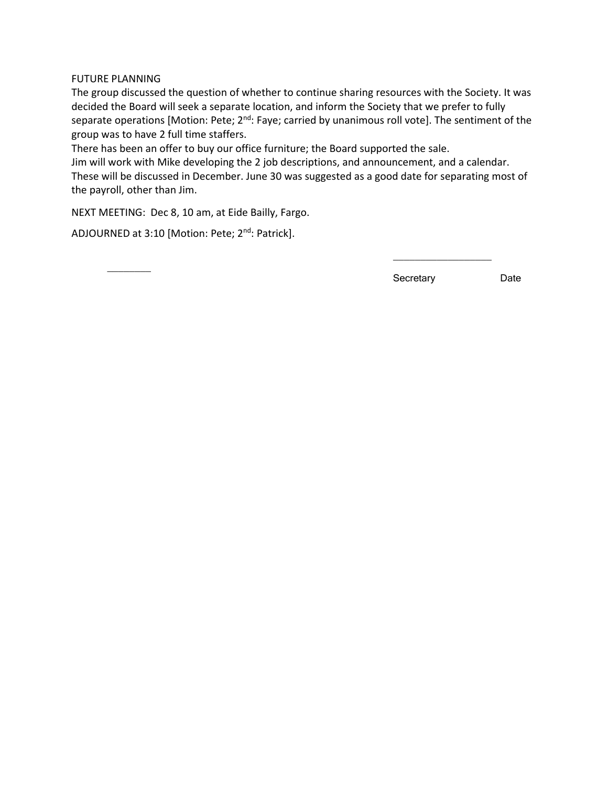FUTURE PLANNING

The group discussed the question of whether to continue sharing resources with the Society. It was decided the Board will seek a separate location, and inform the Society that we prefer to fully separate operations [Motion: Pete; 2<sup>nd</sup>: Faye; carried by unanimous roll vote]. The sentiment of the group was to have 2 full time staffers.

There has been an offer to buy our office furniture; the Board supported the sale.

Jim will work with Mike developing the 2 job descriptions, and announcement, and a calendar. These will be discussed in December. June 30 was suggested as a good date for separating most of the payroll, other than Jim.

NEXT MEETING: Dec 8, 10 am, at Eide Bailly, Fargo.

ADJOURNED at 3:10 [Motion: Pete; 2<sup>nd</sup>: Patrick].

 $\overline{\phantom{a}}$ 

Secretary Date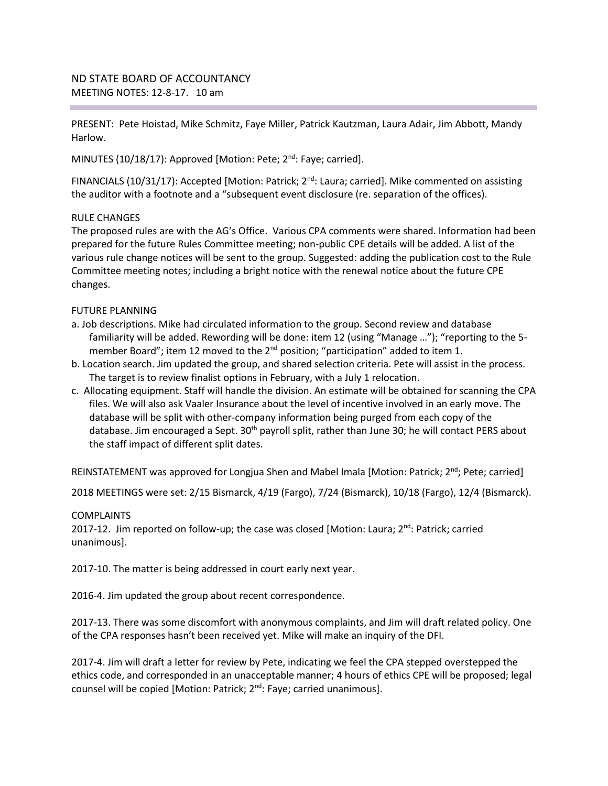PRESENT: Pete Hoistad, Mike Schmitz, Faye Miller, Patrick Kautzman, Laura Adair, Jim Abbott, Mandy Harlow.

MINUTES (10/18/17): Approved [Motion: Pete; 2<sup>nd</sup>: Faye; carried].

FINANCIALS (10/31/17): Accepted [Motion: Patrick; 2<sup>nd</sup>: Laura; carried]. Mike commented on assisting the auditor with a footnote and a "subsequent event disclosure (re. separation of the offices).

# RULE CHANGES

The proposed rules are with the AG's Office. Various CPA comments were shared. Information had been prepared for the future Rules Committee meeting; non-public CPE details will be added. A list of the various rule change notices will be sent to the group. Suggested: adding the publication cost to the Rule Committee meeting notes; including a bright notice with the renewal notice about the future CPE changes.

# FUTURE PLANNING

- a. Job descriptions. Mike had circulated information to the group. Second review and database familiarity will be added. Rewording will be done: item 12 (using "Manage …"); "reporting to the 5 member Board"; item 12 moved to the  $2^{nd}$  position; "participation" added to item 1.
- b. Location search. Jim updated the group, and shared selection criteria. Pete will assist in the process. The target is to review finalist options in February, with a July 1 relocation.
- c. Allocating equipment. Staff will handle the division. An estimate will be obtained for scanning the CPA files. We will also ask Vaaler Insurance about the level of incentive involved in an early move. The database will be split with other-company information being purged from each copy of the database. Jim encouraged a Sept. 30<sup>th</sup> payroll split, rather than June 30; he will contact PERS about the staff impact of different split dates.

REINSTATEMENT was approved for Longjua Shen and Mabel Imala [Motion: Patrick;  $2^{nd}$ ; Pete; carried]

2018 MEETINGS were set: 2/15 Bismarck, 4/19 (Fargo), 7/24 (Bismarck), 10/18 (Fargo), 12/4 (Bismarck).

# **COMPLAINTS**

2017-12. Jim reported on follow-up; the case was closed [Motion: Laura;  $2<sup>nd</sup>$ : Patrick; carried unanimous].

2017-10. The matter is being addressed in court early next year.

2016-4. Jim updated the group about recent correspondence.

2017-13. There was some discomfort with anonymous complaints, and Jim will draft related policy. One of the CPA responses hasn't been received yet. Mike will make an inquiry of the DFI.

2017-4. Jim will draft a letter for review by Pete, indicating we feel the CPA stepped overstepped the ethics code, and corresponded in an unacceptable manner; 4 hours of ethics CPE will be proposed; legal counsel will be copied [Motion: Patrick; 2<sup>nd</sup>: Faye; carried unanimous].